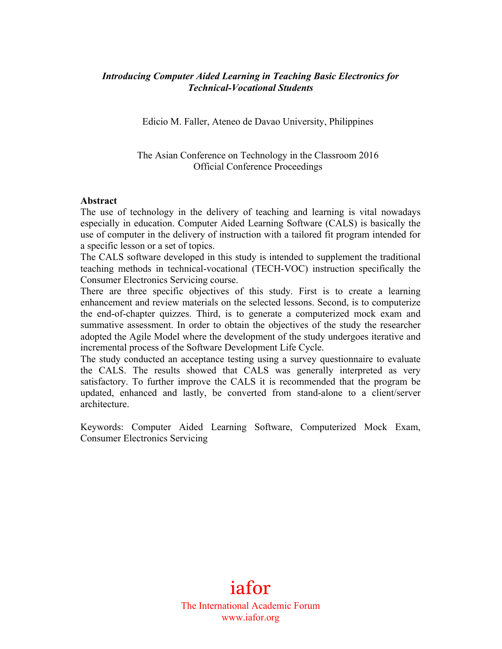## *Introducing Computer Aided Learning in Teaching Basic Electronics for Technical-Vocational Students*

Edicio M. Faller, Ateneo de Davao University, Philippines

The Asian Conference on Technology in the Classroom 2016 Official Conference Proceedings

#### **Abstract**

The use of technology in the delivery of teaching and learning is vital nowadays especially in education. Computer Aided Learning Software (CALS) is basically the use of computer in the delivery of instruction with a tailored fit program intended for a specific lesson or a set of topics.

The CALS software developed in this study is intended to supplement the traditional teaching methods in technical-vocational (TECH-VOC) instruction specifically the Consumer Electronics Servicing course.

There are three specific objectives of this study. First is to create a learning enhancement and review materials on the selected lessons. Second, is to computerize the end-of-chapter quizzes. Third, is to generate a computerized mock exam and summative assessment. In order to obtain the objectives of the study the researcher adopted the Agile Model where the development of the study undergoes iterative and incremental process of the Software Development Life Cycle.

The study conducted an acceptance testing using a survey questionnaire to evaluate the CALS. The results showed that CALS was generally interpreted as very satisfactory. To further improve the CALS it is recommended that the program be updated, enhanced and lastly, be converted from stand-alone to a client/server architecture.

Keywords: Computer Aided Learning Software, Computerized Mock Exam, Consumer Electronics Servicing

> iafor The International Academic Forum www.iafor.org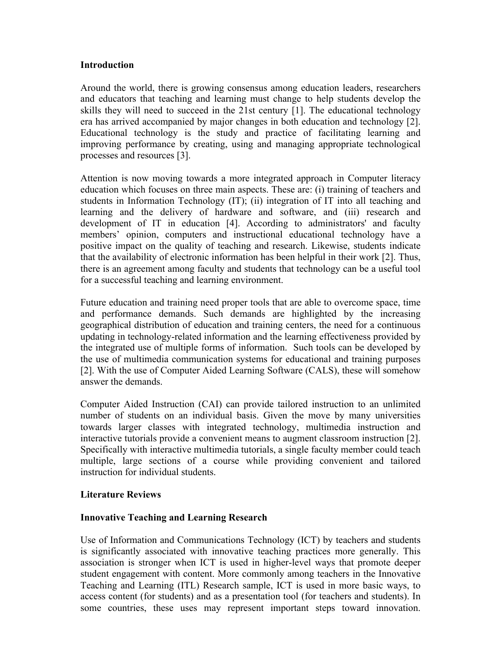### **Introduction**

Around the world, there is growing consensus among education leaders, researchers and educators that teaching and learning must change to help students develop the skills they will need to succeed in the 21st century [1]. The educational technology era has arrived accompanied by major changes in both education and technology [2]. Educational technology is the study and practice of facilitating learning and improving performance by creating, using and managing appropriate technological processes and resources [3].

Attention is now moving towards a more integrated approach in Computer literacy education which focuses on three main aspects. These are: (i) training of teachers and students in Information Technology (IT); (ii) integration of IT into all teaching and learning and the delivery of hardware and software, and (iii) research and development of IT in education [4]. According to administrators' and faculty members' opinion, computers and instructional educational technology have a positive impact on the quality of teaching and research. Likewise, students indicate that the availability of electronic information has been helpful in their work [2]. Thus, there is an agreement among faculty and students that technology can be a useful tool for a successful teaching and learning environment.

Future education and training need proper tools that are able to overcome space, time and performance demands. Such demands are highlighted by the increasing geographical distribution of education and training centers, the need for a continuous updating in technology-related information and the learning effectiveness provided by the integrated use of multiple forms of information. Such tools can be developed by the use of multimedia communication systems for educational and training purposes [2]. With the use of Computer Aided Learning Software (CALS), these will somehow answer the demands.

Computer Aided Instruction (CAI) can provide tailored instruction to an unlimited number of students on an individual basis. Given the move by many universities towards larger classes with integrated technology, multimedia instruction and interactive tutorials provide a convenient means to augment classroom instruction [2]. Specifically with interactive multimedia tutorials, a single faculty member could teach multiple, large sections of a course while providing convenient and tailored instruction for individual students.

### **Literature Reviews**

## **Innovative Teaching and Learning Research**

Use of Information and Communications Technology (ICT) by teachers and students is significantly associated with innovative teaching practices more generally. This association is stronger when ICT is used in higher-level ways that promote deeper student engagement with content. More commonly among teachers in the Innovative Teaching and Learning (ITL) Research sample, ICT is used in more basic ways, to access content (for students) and as a presentation tool (for teachers and students). In some countries, these uses may represent important steps toward innovation.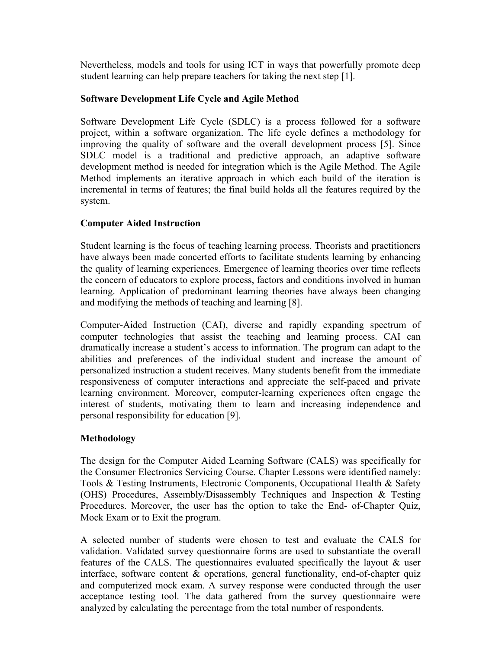Nevertheless, models and tools for using ICT in ways that powerfully promote deep student learning can help prepare teachers for taking the next step [1].

## **Software Development Life Cycle and Agile Method**

Software Development Life Cycle (SDLC) is a process followed for a software project, within a software organization. The life cycle defines a methodology for improving the quality of software and the overall development process [5]. Since SDLC model is a traditional and predictive approach, an adaptive software development method is needed for integration which is the Agile Method. The Agile Method implements an iterative approach in which each build of the iteration is incremental in terms of features; the final build holds all the features required by the system.

# **Computer Aided Instruction**

Student learning is the focus of teaching learning process. Theorists and practitioners have always been made concerted efforts to facilitate students learning by enhancing the quality of learning experiences. Emergence of learning theories over time reflects the concern of educators to explore process, factors and conditions involved in human learning. Application of predominant learning theories have always been changing and modifying the methods of teaching and learning [8].

Computer-Aided Instruction (CAI), diverse and rapidly expanding spectrum of computer technologies that assist the teaching and learning process. CAI can dramatically increase a student's access to information. The program can adapt to the abilities and preferences of the individual student and increase the amount of personalized instruction a student receives. Many students benefit from the immediate responsiveness of computer interactions and appreciate the self-paced and private learning environment. Moreover, computer-learning experiences often engage the interest of students, motivating them to learn and increasing independence and personal responsibility for education [9].

## **Methodology**

The design for the Computer Aided Learning Software (CALS) was specifically for the Consumer Electronics Servicing Course. Chapter Lessons were identified namely: Tools & Testing Instruments, Electronic Components, Occupational Health & Safety (OHS) Procedures, Assembly/Disassembly Techniques and Inspection & Testing Procedures. Moreover, the user has the option to take the End- of-Chapter Quiz, Mock Exam or to Exit the program.

A selected number of students were chosen to test and evaluate the CALS for validation. Validated survey questionnaire forms are used to substantiate the overall features of the CALS. The questionnaires evaluated specifically the layout & user interface, software content & operations, general functionality, end-of-chapter quiz and computerized mock exam. A survey response were conducted through the user acceptance testing tool. The data gathered from the survey questionnaire were analyzed by calculating the percentage from the total number of respondents.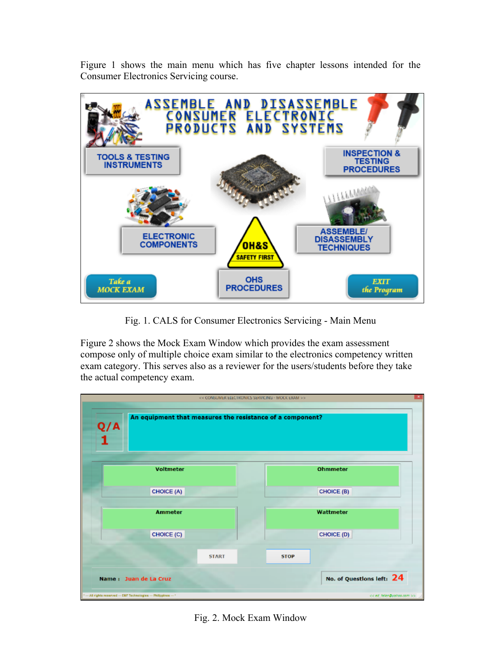Figure 1 shows the main menu which has five chapter lessons intended for the Consumer Electronics Servicing course.



Fig. 1. CALS for Consumer Electronics Servicing - Main Menu

Figure 2 shows the Mock Exam Window which provides the exam assessment compose only of multiple choice exam similar to the electronics competency written exam category. This serves also as a reviewer for the users/students before they take the actual competency exam.



Fig. 2. Mock Exam Window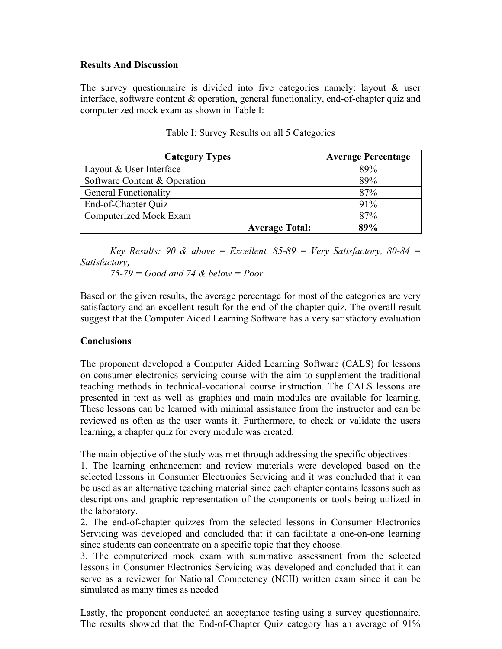### **Results And Discussion**

The survey questionnaire is divided into five categories namely: layout & user interface, software content & operation, general functionality, end-of-chapter quiz and computerized mock exam as shown in Table I:

| <b>Category Types</b>        | <b>Average Percentage</b> |
|------------------------------|---------------------------|
| Layout & User Interface      | 89%                       |
| Software Content & Operation | 89%                       |
| <b>General Functionality</b> | 87%                       |
| End-of-Chapter Quiz          | 91%                       |
| Computerized Mock Exam       | 87%                       |
| <b>Average Total:</b>        | 89%                       |

| Table I: Survey Results on all 5 Categories |  |  |  |  |  |
|---------------------------------------------|--|--|--|--|--|
|---------------------------------------------|--|--|--|--|--|

*Key Results:* 90  $\&$  *above* = *Excellent,* 85-89 = *Very Satisfactory,* 80-84 = *Satisfactory,* 

*75-79 = Good and 74 & below = Poor.*

Based on the given results, the average percentage for most of the categories are very satisfactory and an excellent result for the end-of-the chapter quiz. The overall result suggest that the Computer Aided Learning Software has a very satisfactory evaluation.

### **Conclusions**

The proponent developed a Computer Aided Learning Software (CALS) for lessons on consumer electronics servicing course with the aim to supplement the traditional teaching methods in technical-vocational course instruction. The CALS lessons are presented in text as well as graphics and main modules are available for learning. These lessons can be learned with minimal assistance from the instructor and can be reviewed as often as the user wants it. Furthermore, to check or validate the users learning, a chapter quiz for every module was created.

The main objective of the study was met through addressing the specific objectives:

1. The learning enhancement and review materials were developed based on the selected lessons in Consumer Electronics Servicing and it was concluded that it can be used as an alternative teaching material since each chapter contains lessons such as descriptions and graphic representation of the components or tools being utilized in the laboratory.

2. The end-of-chapter quizzes from the selected lessons in Consumer Electronics Servicing was developed and concluded that it can facilitate a one-on-one learning since students can concentrate on a specific topic that they choose.

3. The computerized mock exam with summative assessment from the selected lessons in Consumer Electronics Servicing was developed and concluded that it can serve as a reviewer for National Competency (NCII) written exam since it can be simulated as many times as needed

Lastly, the proponent conducted an acceptance testing using a survey questionnaire. The results showed that the End-of-Chapter Quiz category has an average of 91%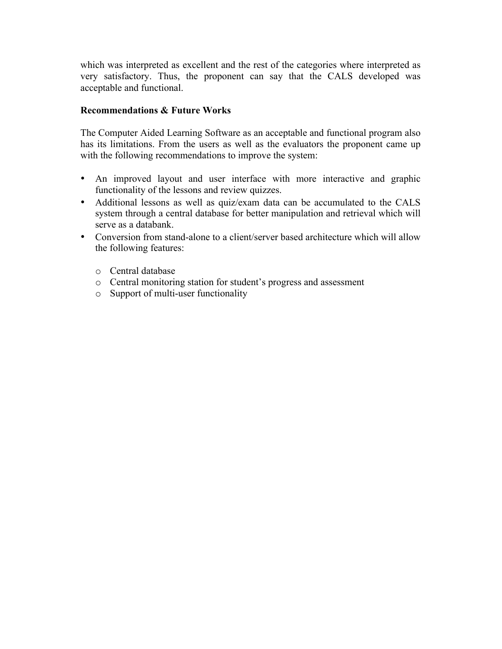which was interpreted as excellent and the rest of the categories where interpreted as very satisfactory. Thus, the proponent can say that the CALS developed was acceptable and functional.

## **Recommendations & Future Works**

The Computer Aided Learning Software as an acceptable and functional program also has its limitations. From the users as well as the evaluators the proponent came up with the following recommendations to improve the system:

- An improved layout and user interface with more interactive and graphic functionality of the lessons and review quizzes.
- Additional lessons as well as quiz/exam data can be accumulated to the CALS system through a central database for better manipulation and retrieval which will serve as a databank.
- Conversion from stand-alone to a client/server based architecture which will allow the following features:
	- o Central database
	- o Central monitoring station for student's progress and assessment
	- o Support of multi-user functionality